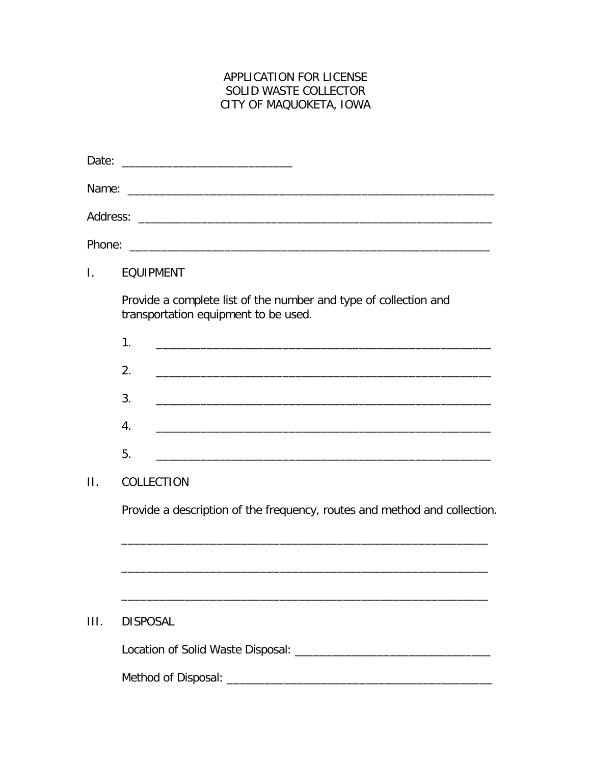## APPLICATION FOR LICENSE SOLID WASTE COLLECTOR CITY OF MAQUOKETA, IOWA

| Date:        |                                                                                                                            |
|--------------|----------------------------------------------------------------------------------------------------------------------------|
|              |                                                                                                                            |
|              |                                                                                                                            |
|              |                                                                                                                            |
| $\mathbf{L}$ | <b>EQUIPMENT</b>                                                                                                           |
|              | Provide a complete list of the number and type of collection and<br>transportation equipment to be used.                   |
|              | 1.                                                                                                                         |
|              | 2.<br><u> 1989 - Andrea Santa Andrea Santa Andrea Santa Andrea Santa Andrea Santa Andrea Santa Andrea Santa Andrea San</u> |
|              | 3.                                                                                                                         |
|              | 4.<br><u> 1980 - John Stein, mars and de British and de British and de British and de British and de British and de Br</u> |
|              | 5.<br>and the control of the control of the control of the control of the control of the control of the control of the     |
| $\Pi$ .      | COLLECTION                                                                                                                 |
|              | Provide a description of the frequency, routes and method and collection.                                                  |
|              |                                                                                                                            |
| III.         | <b>DISPOSAL</b>                                                                                                            |
|              |                                                                                                                            |
|              |                                                                                                                            |